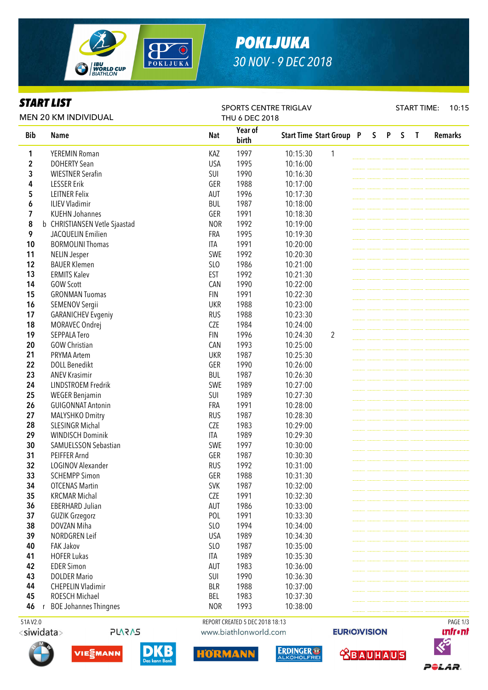

## *POKLJUKA 30 NOV - 9 DEC 2018*

#### *START LIST*

| SIAKI LISI                  |  | SPORTS CENTRE TRIGLAV         |                |                  |                                 |  |  |              | <b>START TIME:</b><br>10:15 |              |              |  |                |
|-----------------------------|--|-------------------------------|----------------|------------------|---------------------------------|--|--|--------------|-----------------------------|--------------|--------------|--|----------------|
| <b>MEN 20 KM INDIVIDUAL</b> |  |                               | THU 6 DEC 2018 |                  |                                 |  |  |              |                             |              |              |  |                |
| <b>Bib</b>                  |  | <b>Name</b>                   | <b>Nat</b>     | Year of<br>birth | <b>Start Time Start Group P</b> |  |  | $\mathsf{S}$ | $\mathsf{P}$                | $\mathsf{S}$ | $\mathbf{I}$ |  | <b>Remarks</b> |
| 1                           |  | YEREMIN Roman                 | KAZ            | 1997             | 10:15:30<br>1                   |  |  |              |                             |              |              |  |                |
| $\boldsymbol{2}$            |  | <b>DOHERTY Sean</b>           | <b>USA</b>     | 1995             | 10:16:00                        |  |  |              |                             |              |              |  |                |
| 3                           |  | <b>WIESTNER Serafin</b>       | SUI            | 1990             | 10:16:30                        |  |  |              |                             |              |              |  |                |
| 4                           |  | <b>LESSER Erik</b>            | GER            | 1988             | 10:17:00                        |  |  |              |                             |              |              |  |                |
| 5                           |  | <b>LEITNER Felix</b>          | AUT            | 1996             | 10:17:30                        |  |  |              |                             |              |              |  |                |
| 6                           |  | <b>ILIEV Vladimir</b>         | <b>BUL</b>     | 1987             | 10:18:00                        |  |  |              |                             |              |              |  |                |
| 7                           |  | <b>KUEHN Johannes</b>         | GER            | 1991             | 10:18:30                        |  |  |              |                             |              |              |  |                |
| 8                           |  | b CHRISTIANSEN Vetle Sjaastad | <b>NOR</b>     | 1992             | 10:19:00                        |  |  |              |                             |              |              |  |                |
| 9                           |  | JACQUELIN Emilien             | FRA            | 1995             | 10:19:30                        |  |  |              |                             |              |              |  |                |
| 10                          |  | <b>BORMOLINI Thomas</b>       | <b>ITA</b>     | 1991             | 10:20:00                        |  |  |              |                             |              |              |  |                |
| 11                          |  | <b>NELIN Jesper</b>           | SWE            | 1992             | 10:20:30                        |  |  |              |                             |              |              |  |                |
| 12                          |  | <b>BAUER Klemen</b>           | SLO            | 1986             | 10:21:00                        |  |  |              |                             |              |              |  |                |
| 13                          |  | <b>ERMITS Kalev</b>           | <b>EST</b>     | 1992             | 10:21:30                        |  |  |              |                             |              |              |  |                |
| 14                          |  | <b>GOW Scott</b>              | CAN            | 1990             | 10:22:00                        |  |  |              |                             |              |              |  |                |
| 15                          |  | <b>GRONMAN Tuomas</b>         | <b>FIN</b>     | 1991             | 10:22:30                        |  |  |              |                             |              |              |  |                |
| 16                          |  | <b>SEMENOV Sergii</b>         | <b>UKR</b>     | 1988             | 10:23:00                        |  |  |              |                             |              |              |  |                |
| 17                          |  | <b>GARANICHEV Evgeniy</b>     | <b>RUS</b>     | 1988             | 10:23:30                        |  |  |              |                             |              |              |  |                |
| 18                          |  | MORAVEC Ondrej                | <b>CZE</b>     | 1984             | 10:24:00                        |  |  |              |                             |              |              |  |                |
| 19                          |  | <b>SEPPALA Tero</b>           | <b>FIN</b>     | 1996             | $\overline{2}$<br>10:24:30      |  |  |              |                             |              |              |  |                |
| 20                          |  | <b>GOW Christian</b>          | CAN            | 1993             | 10:25:00                        |  |  |              |                             |              |              |  |                |
| 21                          |  | PRYMA Artem                   | <b>UKR</b>     | 1987             | 10:25:30                        |  |  |              |                             |              |              |  |                |
| 22                          |  | <b>DOLL Benedikt</b>          | GER            | 1990             | 10:26:00                        |  |  |              |                             |              |              |  |                |
| 23                          |  | <b>ANEV Krasimir</b>          | <b>BUL</b>     | 1987             | 10:26:30                        |  |  |              |                             |              |              |  |                |
| 24                          |  |                               |                |                  |                                 |  |  |              |                             |              |              |  |                |
|                             |  | <b>LINDSTROEM Fredrik</b>     | SWE            | 1989             | 10:27:00                        |  |  |              |                             |              |              |  |                |
| 25                          |  | <b>WEGER Benjamin</b>         | SUI            | 1989             | 10:27:30                        |  |  |              |                             |              |              |  |                |
| 26                          |  | <b>GUIGONNAT Antonin</b>      | <b>FRA</b>     | 1991             | 10:28:00                        |  |  |              |                             |              |              |  |                |
| 27                          |  | MALYSHKO Dmitry               | <b>RUS</b>     | 1987             | 10:28:30                        |  |  |              |                             |              |              |  |                |
| 28                          |  | <b>SLESINGR Michal</b>        | <b>CZE</b>     | 1983             | 10:29:00                        |  |  |              |                             |              |              |  |                |
| 29                          |  | <b>WINDISCH Dominik</b>       | <b>ITA</b>     | 1989             | 10:29:30                        |  |  |              |                             |              |              |  |                |
| 30                          |  | SAMUELSSON Sebastian          | SWE            | 1997             | 10:30:00                        |  |  |              |                             |              |              |  |                |
| 31                          |  | PEIFFER Arnd                  | GER            | 1987             | 10:30:30                        |  |  |              |                             |              |              |  |                |
| 32                          |  | LOGINOV Alexander             | <b>RUS</b>     | 1992             | 10:31:00                        |  |  |              |                             |              |              |  |                |
| 33                          |  | <b>SCHEMPP Simon</b>          | GER            | 1988             | 10:31:30                        |  |  |              |                             |              |              |  |                |
| 34                          |  | <b>OTCENAS Martin</b>         | <b>SVK</b>     | 1987             | 10:32:00                        |  |  |              |                             |              |              |  |                |
| 35                          |  | <b>KRCMAR Michal</b>          | <b>CZE</b>     | 1991             | 10:32:30                        |  |  |              |                             |              |              |  |                |
| 36                          |  | <b>EBERHARD Julian</b>        | AUT            | 1986             | 10:33:00                        |  |  |              |                             |              |              |  |                |
| 37                          |  | <b>GUZIK Grzegorz</b>         | POL            | 1991             | 10:33:30                        |  |  |              |                             |              |              |  |                |
| 38                          |  | DOVZAN Miha                   | SLO            | 1994             | 10:34:00                        |  |  |              |                             |              |              |  |                |
| 39                          |  | NORDGREN Leif                 | <b>USA</b>     | 1989             | 10:34:30                        |  |  |              |                             |              |              |  |                |
| 40                          |  | <b>FAK Jakov</b>              | SLO            | 1987             | 10:35:00                        |  |  |              |                             |              |              |  |                |
| 41                          |  | <b>HOFER Lukas</b>            | <b>ITA</b>     | 1989             | 10:35:30                        |  |  |              |                             |              |              |  |                |
| 42                          |  | <b>EDER Simon</b>             | AUT            | 1983             | 10:36:00                        |  |  |              |                             |              |              |  |                |
| 43                          |  | <b>DOLDER Mario</b>           | SUI            | 1990             | 10:36:30                        |  |  |              |                             |              |              |  |                |
| 44                          |  | <b>CHEPELIN Vladimir</b>      | <b>BLR</b>     | 1988             | 10:37:00                        |  |  |              |                             |              |              |  |                |
| 45                          |  | ROESCH Michael                | BEL            | 1983             | 10:37:30                        |  |  |              |                             |              |              |  |                |
| 46                          |  | <b>BOE Johannes Thingnes</b>  | <b>NOR</b>     | 1993             | 10:38:00                        |  |  |              |                             |              |              |  |                |



- 
- <siwidata>



 51A V2.0 REPORT CREATED 5 DEC 2018 18:13 PAGE 1/3www.biathlonworld.com

HORMANN

**ERDINGER ®** 

**EURIOVISION** 

**TRAUHAUS** 

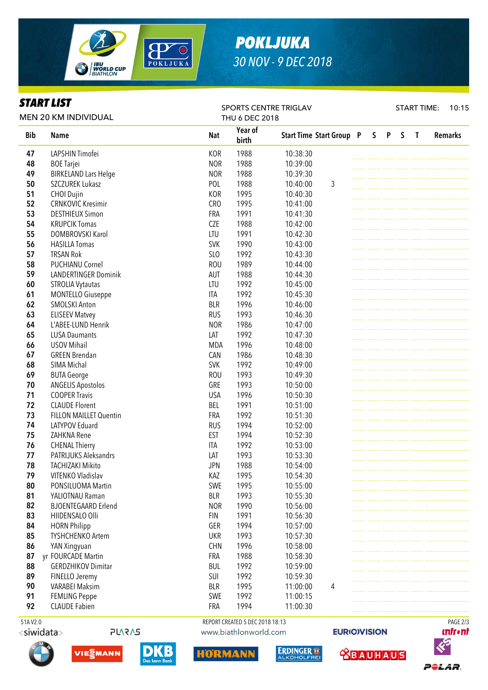

## *POKLJUKA 30 NOV - 9 DEC 2018*

#### *START LIST*

Bib Name National Second Second Second Second Second Second Second Second Second Second Second Second Second S Year of birth Start Time Start Group P S P S T Remarks **47** LAPSHIN Timofei **COR 1988** 10:38:30 **48** BOE Tarjei **NOR 1988 10:39:00** 49 BIRKELAND Lars Helge Norman 2008 10:39:30 **50** SZCZUREK Lukasz **POL** 1988 10:40:00 3 51 CHOI Duiin KOR 1995 10:40:30 **52** CRNKOVIC Kresimir CRO 1995 10:41:00 **53** DESTHIEUX Simon **FRA** 1991 10:41:30 54 KRUPCIK Tomas CZE 1988 10:42:00 **55 DOMBROVSKI Karol 10:42:30** LTU 1991 10:42:30 56 HASILLA Tomas SVK 1990 10:43:00 **57** TRSAN Rok SLO 1992 10:43:30 **58 PUCHIANU Cornel 200 ROU 1989 10:44:00** 59 LANDERTINGER Dominik AUT 1988 10:44:30 **60** STROLIA Vytautas **LTU** 1992 10:45:00 61 MONTELLO Giuseppe 10:45:30 62 SMOLSKI Anton BLR 1996 10:46:00 **63** ELISEEV Matvey **RUS RUS** 1993 **10:46:30** 64 L'ABEE-LUND Henrik NOR 1986 10:47:00 **65** LUSA Daumants **LAT** 1992 **10:47:30** 66 USOV Mihail MDA 1996 10:48:00 67 GREEN Brendan CAN 1986 10:48:30 **68** SIMA Michal SIMA Michal SVK 1992 10:49:00 **69** BUTA George ROU 2993 10:49:30 70 ANGELIS Apostolos GRE 1993 10:50:00 **71** COOPER Travis **10:50:30** USA 1996 10:50:30 72 CLAUDE Florent BEL 1991 10:51:00 73 FILLON MAILLET Quentin FRA 1992 10:51:30 **74** LATYPOV Eduard **RUS RUS** 1994 **10:52:00 75** ZAHKNA Rene **EST** 1994 10:52:30 **76** CHENAL Thierry **ITA** 1992 10:53:00 **77** PATRIJUKS Aleksandrs LAT 1993 10:53:30 **78** TACHIZAKI Mikito **1988** 10:54:00 **79** VITENKO Vladislav KAZ 1995 10:54:30 80 PONSILUOMA Martin SWE 1995 10:55:00 81 YALIOTNAU Raman BLR 1993 10:55:30 82 BJOENTEGAARD Erlend NOR 1990 10:56:00 83 HIIDENSALO Olli FIN 1991 10:56:30 84 HORN Philipp **GER** 1994 10:57:00 85 TYSHCHENKO Artem 1993 10:57:30 86 YAN Xingyuan CHN 1996 10:58:00 87 yr FOURCADE Martin FRA 1988 10:58:30 88 GERDZHIKOV Dimitar **BUL** 1992 10:59:00 89 FINELLO Jeremy SUI 1992 10:59:30 **90** VARABEI Maksim **BLR** 1995 11:00:00 4 **91** FEMLING Peppe SWE 1992 11:00:15 **92** CLAUDE Fabien **FRA** 1994 11:00:30 MEN 20 KM INDIVIDUAL SPORTS CENTRE TRIGLAV THU 6 DEC 2018 START TIME: 10:15



<siwidata>



 51A V2.0 REPORT CREATED 5 DEC 2018 18:13 PAGE 2/3www.biathlonworld.com

**IORMAN** 





P<del>o</del>lar